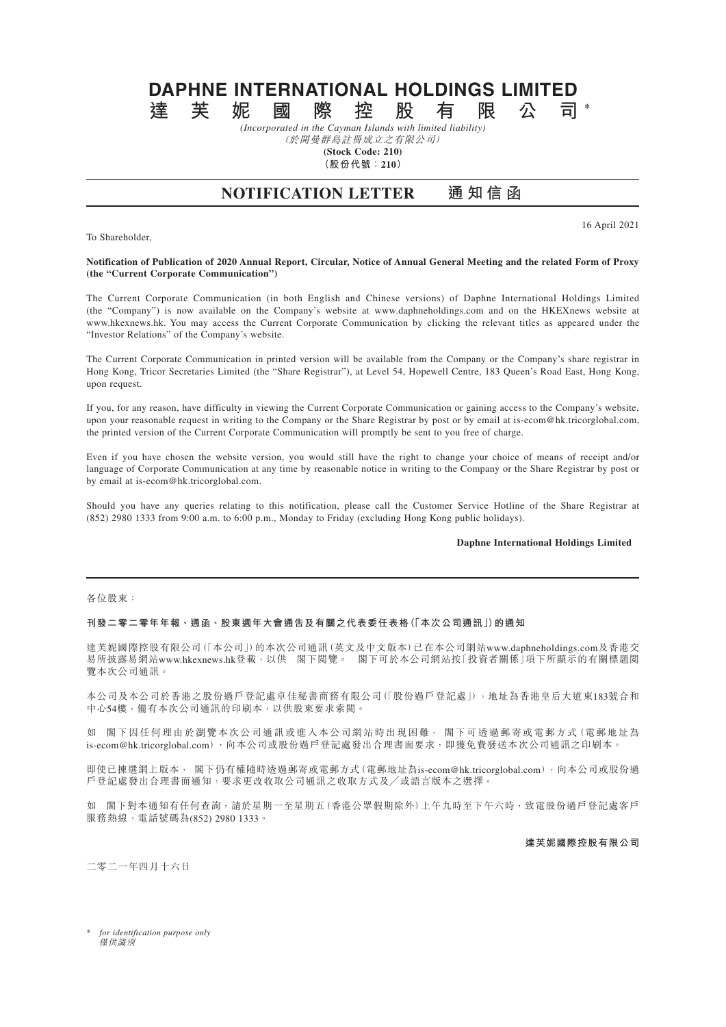# **DAPHNE INTERNATIONAL HOLDINGS LIMITED 達芙妮國際控股有限公司 \***

*(Incorporated in the Cayman Islands with limited liability)* (於開曼群島註冊成立之有限公司)

**(Stock Code: 210)**

**(股份代號:210)**

# **NOTIFICATION LETTER 通知信函**

To Shareholder,

16 April 2021

### **Notification of Publication of 2020 Annual Report, Circular, Notice of Annual General Meeting and the related Form of Proxy (the "Current Corporate Communication")**

The Current Corporate Communication (in both English and Chinese versions) of Daphne International Holdings Limited (the "Company") is now available on the Company's website at www.daphneholdings.com and on the HKEXnews website at www.hkexnews.hk. You may access the Current Corporate Communication by clicking the relevant titles as appeared under the "Investor Relations" of the Company's website.

The Current Corporate Communication in printed version will be available from the Company or the Company's share registrar in Hong Kong, Tricor Secretaries Limited (the "Share Registrar"), at Level 54, Hopewell Centre, 183 Queen's Road East, Hong Kong, upon request.

If you, for any reason, have difficulty in viewing the Current Corporate Communication or gaining access to the Company's website, upon your reasonable request in writing to the Company or the Share Registrar by post or by email at is-ecom@hk.tricorglobal.com, the printed version of the Current Corporate Communication will promptly be sent to you free of charge.

Even if you have chosen the website version, you would still have the right to change your choice of means of receipt and/or language of Corporate Communication at any time by reasonable notice in writing to the Company or the Share Registrar by post or by email at is-ecom@hk.tricorglobal.com.

Should you have any queries relating to this notification, please call the Customer Service Hotline of the Share Registrar at (852) 2980 1333 from 9:00 a.m. to 6:00 p.m., Monday to Friday (excluding Hong Kong public holidays).

# **Daphne International Holdings Limited**

#### 各位股東:

### **刊發二零二零年年報、通函、股東週年大會通告及有關之代表委任表格(「本次公司通訊」)的通知**

達芙妮國際控股有限公司(「本公司」)的本次公司通訊(英文及中文版本)已在本公司網站www.daphneholdings.com及香港交 易所披露易網站www.hkexnews.hk登載,以供 閣下閲覽。 閣下可於本公司網站按「投資者關係」項下所顯示的有關標題閲 覽本次公司通訊。

本公司及本公司於香港之股份過戶登記處卓佳秘書商務有限公司(「股份過戶登記處」),地址為香港皇后大道東183號合和 中心54樓,備有本次公司通訊的印刷本,以供股東要求索閱。

如 閣下因任何理由於瀏覽本次公司通訊或進入本公司網站時出現困難, 閣下可透過郵寄或電郵方式(電郵地址為 is-ecom@hk.tricorglobal.com),向本公司或股份過戶登記處發出合理書面要求,即獲免費發送本次公司通訊之印刷本。

即使已揀選網上版本, 閣下仍有權隨時透過郵寄或電郵方式(電郵地址為is-ecom@hk.tricorglobal.com),向本公司或股份過 戶登記處發出合理書面通知,要求更改收取公司通訊之收取方式及╱或語言版本之選擇。

如 閣下對本通知有任何查詢,請於星期一至星期五(香港公眾假期除外)上午九時至下午六時,致電股份過戶登記處客戶 服務熱線,電話號碼為(852) 2980 1333。

**達芙妮國際控股有限公司**

二零二一年四月十六日

\* *for identification purpose only* 僅供識別